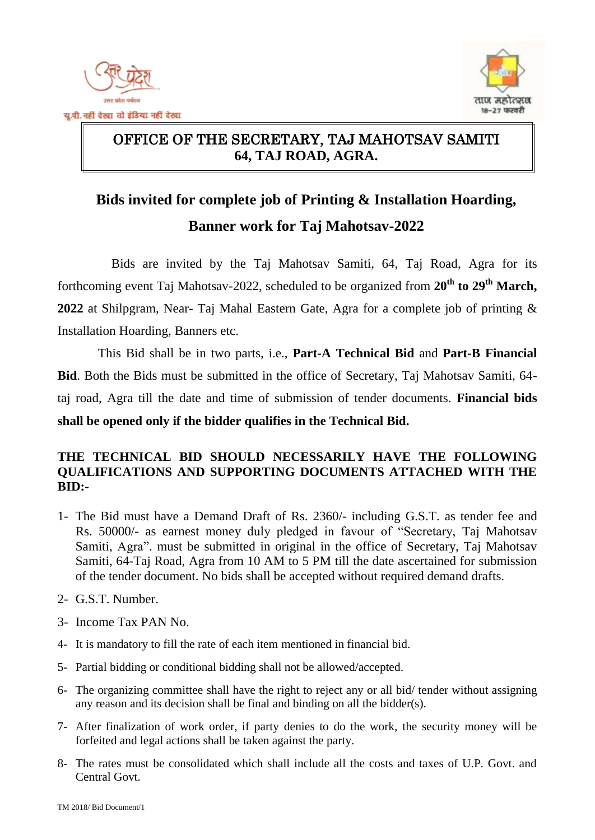



#### $\overline{a}$ OFFICE OF THE SECRETARY, TAJ MAHOTSAV SAMITI **64, TAJ ROAD, AGRA.**

# **Bids invited for complete job of Printing & Installation Hoarding, Banner work for Taj Mahotsav-2022**

Bids are invited by the Taj Mahotsav Samiti, 64, Taj Road, Agra for its forthcoming event Taj Mahotsav-2022, scheduled to be organized from  $20^{th}$  to  $29^{th}$  March, **2022** at Shilpgram, Near- Taj Mahal Eastern Gate, Agra for a complete job of printing & Installation Hoarding, Banners etc.

This Bid shall be in two parts, i.e., **Part-A Technical Bid** and **Part-B Financial Bid**. Both the Bids must be submitted in the office of Secretary, Taj Mahotsav Samiti, 64 taj road, Agra till the date and time of submission of tender documents. **Financial bids shall be opened only if the bidder qualifies in the Technical Bid.**

#### **THE TECHNICAL BID SHOULD NECESSARILY HAVE THE FOLLOWING QUALIFICATIONS AND SUPPORTING DOCUMENTS ATTACHED WITH THE BID:-**

- 1- The Bid must have a Demand Draft of Rs. 2360/- including G.S.T. as tender fee and Rs. 50000/- as earnest money duly pledged in favour of "Secretary, Taj Mahotsav Samiti, Agra". must be submitted in original in the office of Secretary, Taj Mahotsav Samiti, 64-Taj Road, Agra from 10 AM to 5 PM till the date ascertained for submission of the tender document. No bids shall be accepted without required demand drafts.
- 2- G.S.T. Number.
- 3- Income Tax PAN No.
- 4- It is mandatory to fill the rate of each item mentioned in financial bid.
- 5- Partial bidding or conditional bidding shall not be allowed/accepted.
- 6- The organizing committee shall have the right to reject any or all bid/ tender without assigning any reason and its decision shall be final and binding on all the bidder(s).
- 7- After finalization of work order, if party denies to do the work, the security money will be forfeited and legal actions shall be taken against the party.
- 8- The rates must be consolidated which shall include all the costs and taxes of U.P. Govt. and Central Govt.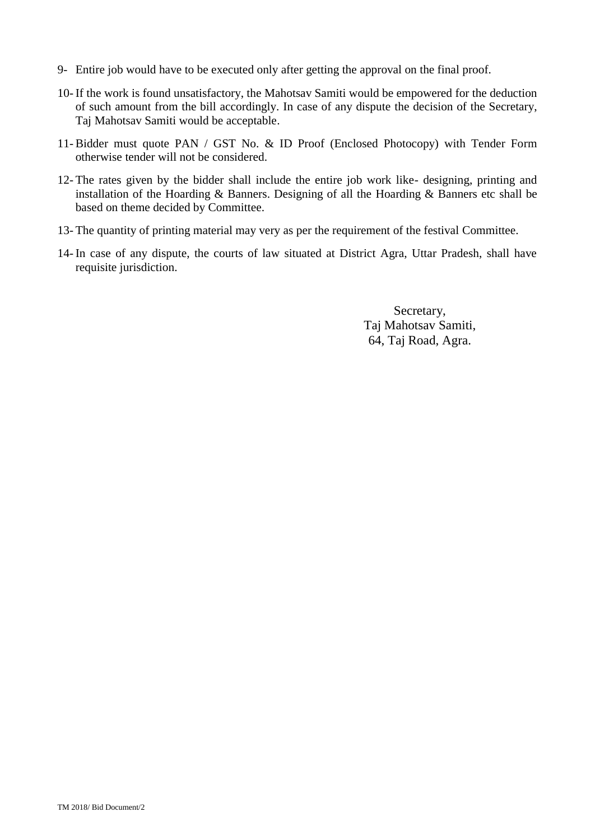- 9- Entire job would have to be executed only after getting the approval on the final proof.
- 10- If the work is found unsatisfactory, the Mahotsav Samiti would be empowered for the deduction of such amount from the bill accordingly. In case of any dispute the decision of the Secretary, Taj Mahotsav Samiti would be acceptable.
- 11- Bidder must quote PAN / GST No. & ID Proof (Enclosed Photocopy) with Tender Form otherwise tender will not be considered.
- 12- The rates given by the bidder shall include the entire job work like- designing, printing and installation of the Hoarding & Banners. Designing of all the Hoarding & Banners etc shall be based on theme decided by Committee.
- 13- The quantity of printing material may very as per the requirement of the festival Committee.
- 14- In case of any dispute, the courts of law situated at District Agra, Uttar Pradesh, shall have requisite jurisdiction.

Secretary, Taj Mahotsav Samiti, 64, Taj Road, Agra.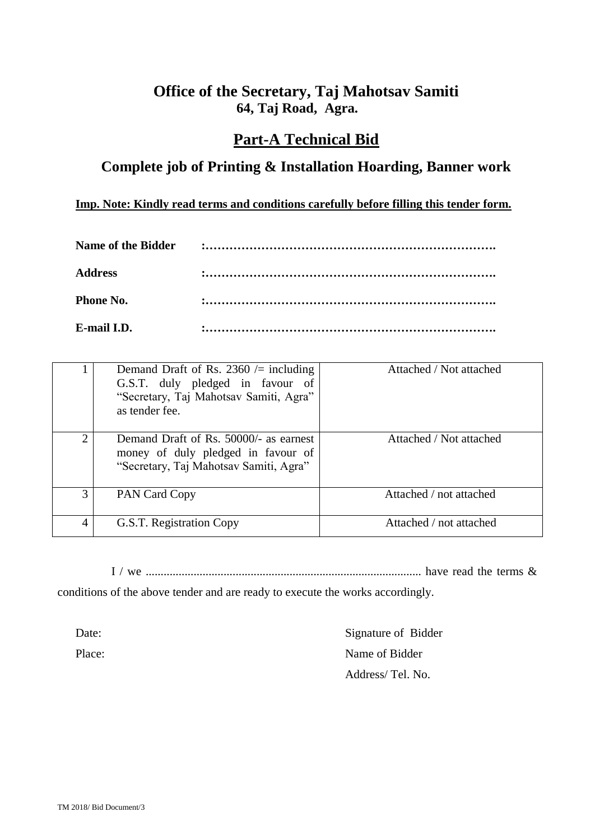### **Office of the Secretary, Taj Mahotsav Samiti 64, Taj Road, Agra.**

#### **Part-A Technical Bid**

### **Complete job of Printing & Installation Hoarding, Banner work**

**Imp. Note: Kindly read terms and conditions carefully before filling this tender form.**

| Name of the Bidder |  |
|--------------------|--|
| Address            |  |
| <b>Phone No.</b>   |  |
| E-mail LD.         |  |

|                             | Demand Draft of Rs. 2360 $\ell$ including<br>G.S.T. duly pledged in favour of<br>"Secretary, Taj Mahotsav Samiti, Agra"<br>as tender fee. | Attached / Not attached |
|-----------------------------|-------------------------------------------------------------------------------------------------------------------------------------------|-------------------------|
| $\mathcal{D}_{\mathcal{L}}$ | Demand Draft of Rs. 50000/- as earnest<br>money of duly pledged in favour of<br>"Secretary, Taj Mahotsav Samiti, Agra"                    | Attached / Not attached |
| 3                           | PAN Card Copy                                                                                                                             | Attached / not attached |
| 4                           | G.S.T. Registration Copy                                                                                                                  | Attached / not attached |

I / we ............................................................................................ have read the terms &

conditions of the above tender and are ready to execute the works accordingly.

Date: Signature of Bidder Place: Name of Bidder Address/ Tel. No.